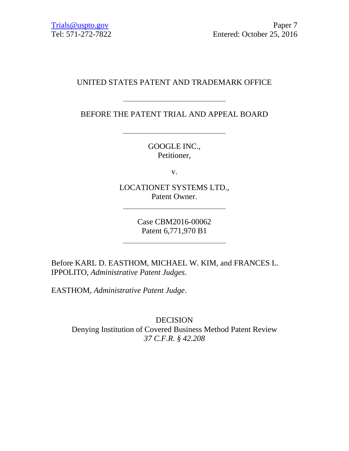# UNITED STATES PATENT AND TRADEMARK OFFICE

BEFORE THE PATENT TRIAL AND APPEAL BOARD

GOOGLE INC., Petitioner,

v.

LOCATIONET SYSTEMS LTD., Patent Owner.

Case CBM2016-00062 Patent 6,771,970 B1

Before KARL D. EASTHOM, MICHAEL W. KIM, and FRANCES L. IPPOLITO, *Administrative Patent Judges*.

EASTHOM, *Administrative Patent Judge*.

DECISION Denying Institution of Covered Business Method Patent Review *37 C.F.R. § 42.208*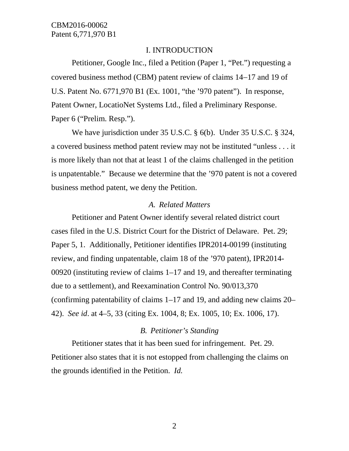# I. INTRODUCTION

Petitioner, Google Inc., filed a Petition (Paper 1, "Pet.") requesting a covered business method (CBM) patent review of claims 14−17 and 19 of U.S. Patent No. 6771,970 B1 (Ex. 1001, "the '970 patent"). In response, Patent Owner, LocatioNet Systems Ltd., filed a Preliminary Response. Paper 6 ("Prelim. Resp.").

We have jurisdiction under 35 U.S.C. § 6(b). Under 35 U.S.C. § 324, a covered business method patent review may not be instituted "unless . . . it is more likely than not that at least 1 of the claims challenged in the petition is unpatentable." Because we determine that the '970 patent is not a covered business method patent, we deny the Petition.

#### *A. Related Matters*

Petitioner and Patent Owner identify several related district court cases filed in the U.S. District Court for the District of Delaware. Pet. 29; Paper 5, 1. Additionally, Petitioner identifies IPR2014-00199 (instituting review, and finding unpatentable, claim 18 of the '970 patent), IPR2014- 00920 (instituting review of claims 1–17 and 19, and thereafter terminating due to a settlement), and Reexamination Control No. 90/013,370 (confirming patentability of claims 1–17 and 19, and adding new claims 20– 42). *See id*. at 4–5, 33 (citing Ex. 1004, 8; Ex. 1005, 10; Ex. 1006, 17).

# *B. Petitioner's Standing*

Petitioner states that it has been sued for infringement. Pet. 29. Petitioner also states that it is not estopped from challenging the claims on the grounds identified in the Petition. *Id.*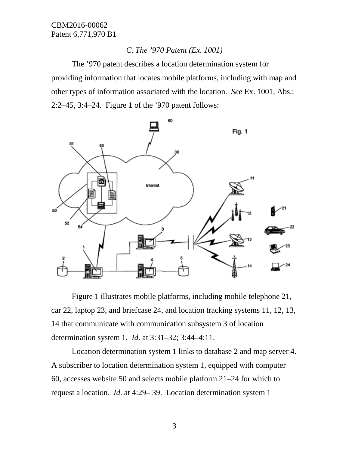# *C. The '970 Patent (Ex. 1001)*

The '970 patent describes a location determination system for providing information that locates mobile platforms, including with map and other types of information associated with the location. *See* Ex. 1001, Abs.; 2:2–45, 3:4–24. Figure 1 of the '970 patent follows:



Figure 1 illustrates mobile platforms, including mobile telephone 21, car 22, laptop 23, and briefcase 24, and location tracking systems 11, 12, 13, 14 that communicate with communication subsystem 3 of location determination system 1. *Id*. at 3:31–32; 3:44–4:11.

Location determination system 1 links to database 2 and map server 4. A subscriber to location determination system 1, equipped with computer 60, accesses website 50 and selects mobile platform 21–24 for which to request a location. *Id*. at 4:29– 39. Location determination system 1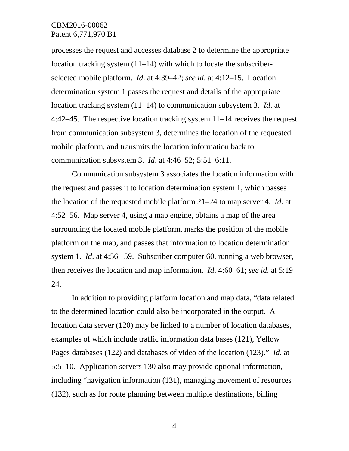processes the request and accesses database 2 to determine the appropriate location tracking system (11–14) with which to locate the subscriberselected mobile platform. *Id*. at 4:39–42; *see id*. at 4:12–15. Location determination system 1 passes the request and details of the appropriate location tracking system (11–14) to communication subsystem 3. *Id*. at 4:42–45. The respective location tracking system 11–14 receives the request from communication subsystem 3, determines the location of the requested mobile platform, and transmits the location information back to communication subsystem 3. *Id*. at 4:46–52; 5:51–6:11.

Communication subsystem 3 associates the location information with the request and passes it to location determination system 1, which passes the location of the requested mobile platform 21–24 to map server 4. *Id*. at 4:52–56. Map server 4, using a map engine, obtains a map of the area surrounding the located mobile platform, marks the position of the mobile platform on the map, and passes that information to location determination system 1. *Id*. at 4:56– 59. Subscriber computer 60, running a web browser, then receives the location and map information. *Id*. 4:60–61; *see id*. at 5:19– 24.

In addition to providing platform location and map data, "data related to the determined location could also be incorporated in the output. A location data server (120) may be linked to a number of location databases, examples of which include traffic information data bases (121), Yellow Pages databases (122) and databases of video of the location (123)." *Id.* at 5:5–10. Application servers 130 also may provide optional information, including "navigation information (131), managing movement of resources (132), such as for route planning between multiple destinations, billing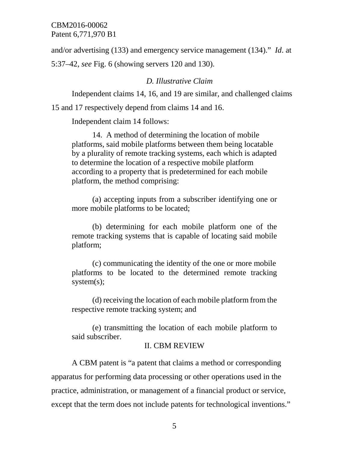and/or advertising (133) and emergency service management (134)." *Id*. at 5:37–42, *see* Fig. 6 (showing servers 120 and 130).

## *D. Illustrative Claim*

Independent claims 14, 16, and 19 are similar, and challenged claims

15 and 17 respectively depend from claims 14 and 16.

Independent claim 14 follows:

14. A method of determining the location of mobile platforms, said mobile platforms between them being locatable by a plurality of remote tracking systems, each which is adapted to determine the location of a respective mobile platform according to a property that is predetermined for each mobile platform, the method comprising:

(a) accepting inputs from a subscriber identifying one or more mobile platforms to be located;

(b) determining for each mobile platform one of the remote tracking systems that is capable of locating said mobile platform;

(c) communicating the identity of the one or more mobile platforms to be located to the determined remote tracking system(s);

(d) receiving the location of each mobile platform from the respective remote tracking system; and

(e) transmitting the location of each mobile platform to said subscriber.

# II. CBM REVIEW

A CBM patent is "a patent that claims a method or corresponding apparatus for performing data processing or other operations used in the practice, administration, or management of a financial product or service, except that the term does not include patents for technological inventions."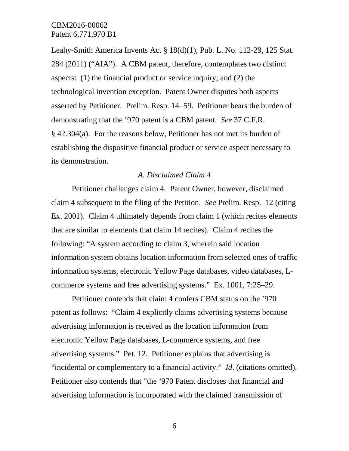Leahy-Smith America Invents Act § 18(d)(1), Pub. L. No. 112-29, 125 Stat. 284 (2011) ("AIA"). A CBM patent, therefore, contemplates two distinct aspects: (1) the financial product or service inquiry; and (2) the technological invention exception. Patent Owner disputes both aspects asserted by Petitioner. Prelim. Resp. 14−59. Petitioner bears the burden of demonstrating that the '970 patent is a CBM patent. *See* 37 C.F.R. § 42.304(a). For the reasons below, Petitioner has not met its burden of establishing the dispositive financial product or service aspect necessary to its demonstration.

#### *A. Disclaimed Claim 4*

Petitioner challenges claim 4. Patent Owner, however, disclaimed claim 4 subsequent to the filing of the Petition. *See* Prelim. Resp. 12 (citing Ex. 2001). Claim 4 ultimately depends from claim 1 (which recites elements that are similar to elements that claim 14 recites). Claim 4 recites the following: "A system according to claim 3, wherein said location information system obtains location information from selected ones of traffic information systems, electronic Yellow Page databases, video databases, Lcommerce systems and free advertising systems." Ex. 1001, 7:25–29.

Petitioner contends that claim 4 confers CBM status on the '970 patent as follows: "Claim 4 explicitly claims advertising systems because advertising information is received as the location information from electronic Yellow Page databases, L-commerce systems, and free advertising systems." Pet. 12. Petitioner explains that advertising is "incidental or complementary to a financial activity." *Id*. (citations omitted). Petitioner also contends that "the '970 Patent discloses that financial and advertising information is incorporated with the claimed transmission of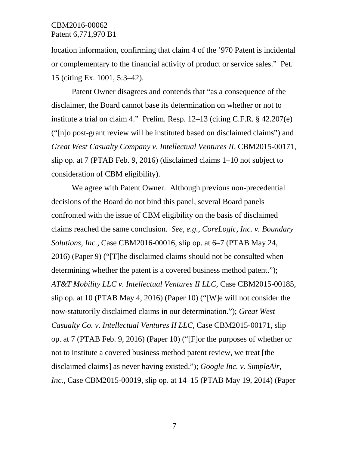location information, confirming that claim 4 of the '970 Patent is incidental or complementary to the financial activity of product or service sales." Pet. 15 (citing Ex. 1001, 5:3–42).

Patent Owner disagrees and contends that "as a consequence of the disclaimer, the Board cannot base its determination on whether or not to institute a trial on claim 4." Prelim. Resp. 12–13 (citing C.F.R. § 42.207(e) ("[n]o post-grant review will be instituted based on disclaimed claims") and *Great West Casualty Company v. Intellectual Ventures II*, CBM2015-00171, slip op. at 7 (PTAB Feb. 9, 2016) (disclaimed claims 1–10 not subject to consideration of CBM eligibility).

We agree with Patent Owner. Although previous non-precedential decisions of the Board do not bind this panel, several Board panels confronted with the issue of CBM eligibility on the basis of disclaimed claims reached the same conclusion. *See, e.g.*, *CoreLogic, Inc. v. Boundary Solutions, Inc.*, Case CBM2016-00016, slip op. at 6–7 (PTAB May 24, 2016) (Paper 9) ("[T]he disclaimed claims should not be consulted when determining whether the patent is a covered business method patent."); *AT&T Mobility LLC v. Intellectual Ventures II LLC*, Case CBM2015-00185, slip op. at 10 (PTAB May 4, 2016) (Paper 10) ("[W]e will not consider the now-statutorily disclaimed claims in our determination."); *Great West Casualty Co. v. Intellectual Ventures II LLC*, Case CBM2015-00171, slip op. at 7 (PTAB Feb. 9, 2016) (Paper 10) ("[F]or the purposes of whether or not to institute a covered business method patent review, we treat [the disclaimed claims] as never having existed."); *Google Inc. v. SimpleAir, Inc.*, Case CBM2015-00019, slip op. at 14–15 (PTAB May 19, 2014) (Paper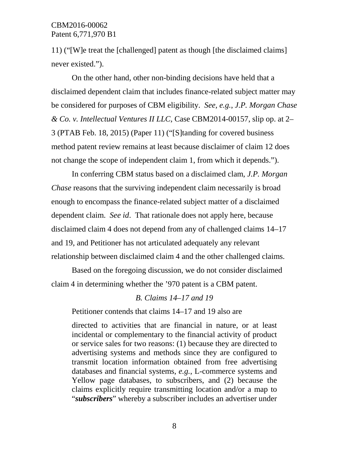11) ("[W]e treat the [challenged] patent as though [the disclaimed claims] never existed.").

On the other hand, other non-binding decisions have held that a disclaimed dependent claim that includes finance-related subject matter may be considered for purposes of CBM eligibility. *See, e.g.*, *J.P. Morgan Chase & Co. v. Intellectual Ventures II LLC*, Case CBM2014-00157, slip op. at 2– 3 (PTAB Feb. 18, 2015) (Paper 11) ("[S]tanding for covered business method patent review remains at least because disclaimer of claim 12 does not change the scope of independent claim 1, from which it depends.").

In conferring CBM status based on a disclaimed clam, *J.P. Morgan Chase* reasons that the surviving independent claim necessarily is broad enough to encompass the finance-related subject matter of a disclaimed dependent claim. *See id*. That rationale does not apply here, because disclaimed claim 4 does not depend from any of challenged claims 14–17 and 19, and Petitioner has not articulated adequately any relevant relationship between disclaimed claim 4 and the other challenged claims.

Based on the foregoing discussion, we do not consider disclaimed claim 4 in determining whether the '970 patent is a CBM patent.

#### *B. Claims 14–17 and 19*

Petitioner contends that claims 14–17 and 19 also are

directed to activities that are financial in nature, or at least incidental or complementary to the financial activity of product or service sales for two reasons: (1) because they are directed to advertising systems and methods since they are configured to transmit location information obtained from free advertising databases and financial systems, *e.g.*, L-commerce systems and Yellow page databases, to subscribers, and (2) because the claims explicitly require transmitting location and/or a map to "*subscribers*" whereby a subscriber includes an advertiser under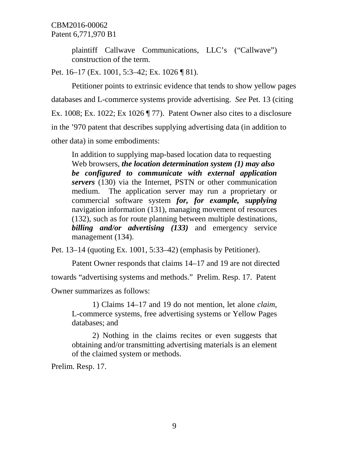plaintiff Callwave Communications, LLC's ("Callwave") construction of the term.

Pet. 16–17 (Ex. 1001, 5:3–42; Ex. 1026 ¶ 81).

Petitioner points to extrinsic evidence that tends to show yellow pages databases and L-commerce systems provide advertising. *See* Pet. 13 (citing Ex. 1008; Ex. 1022; Ex 1026 ¶ 77). Patent Owner also cites to a disclosure in the '970 patent that describes supplying advertising data (in addition to other data) in some embodiments:

In addition to supplying map-based location data to requesting Web browsers, *the location determination system (1) may also be configured to communicate with external application servers* (130) via the Internet, PSTN or other communication medium. The application server may run a proprietary or commercial software system *for, for example, supplying*  navigation information (131), managing movement of resources (132), such as for route planning between multiple destinations, *billing and/or advertising (133)* and emergency service management (134).

Pet. 13–14 (quoting Ex. 1001, 5:33–42) (emphasis by Petitioner).

Patent Owner responds that claims 14–17 and 19 are not directed towards "advertising systems and methods." Prelim. Resp. 17. Patent Owner summarizes as follows:

1) Claims 14–17 and 19 do not mention, let alone *claim*, L-commerce systems, free advertising systems or Yellow Pages databases; and

2) Nothing in the claims recites or even suggests that obtaining and/or transmitting advertising materials is an element of the claimed system or methods.

Prelim. Resp. 17.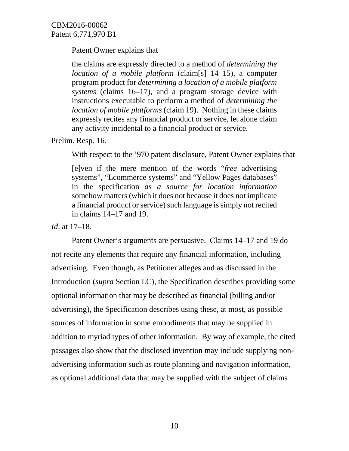Patent Owner explains that

the claims are expressly directed to a method of *determining the location of a mobile platform* (claim[s] 14–15), a computer program product for *determining a location of a mobile platform systems* (claims 16–17), and a program storage device with instructions executable to perform a method of *determining the location of mobile platforms* (claim 19). Nothing in these claims expressly recites any financial product or service, let alone claim any activity incidental to a financial product or service.

Prelim. Resp. 16.

With respect to the '970 patent disclosure, Patent Owner explains that

[e]ven if the mere mention of the words "*free* advertising systems", "Lcommerce systems" and "Yellow Pages databases" in the specification *as a source for location information*  somehow matters (which it does not because it does not implicate a financial product or service) such language is simply not recited in claims 14–17 and 19.

*Id*. at 17–18.

Patent Owner's arguments are persuasive. Claims 14–17 and 19 do not recite any elements that require any financial information, including advertising. Even though, as Petitioner alleges and as discussed in the Introduction (*supra* Section I.C), the Specification describes providing some optional information that may be described as financial (billing and/or advertising), the Specification describes using these, at most, as possible sources of information in some embodiments that may be supplied in addition to myriad types of other information. By way of example, the cited passages also show that the disclosed invention may include supplying nonadvertising information such as route planning and navigation information, as optional additional data that may be supplied with the subject of claims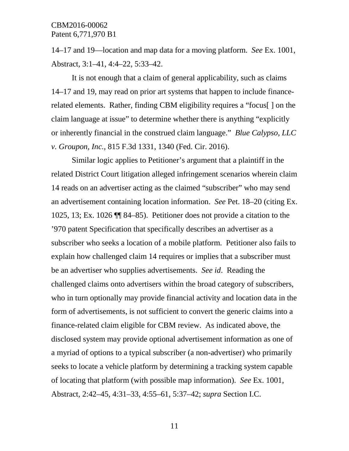14–17 and 19––location and map data for a moving platform. *See* Ex. 1001, Abstract, 3:1–41, 4:4–22, 5:33–42.

It is not enough that a claim of general applicability, such as claims 14–17 and 19, may read on prior art systems that happen to include financerelated elements. Rather, finding CBM eligibility requires a "focus[ ] on the claim language at issue" to determine whether there is anything "explicitly or inherently financial in the construed claim language." *Blue Calypso, LLC v. Groupon, Inc.*, 815 F.3d 1331, 1340 (Fed. Cir. 2016).

Similar logic applies to Petitioner's argument that a plaintiff in the related District Court litigation alleged infringement scenarios wherein claim 14 reads on an advertiser acting as the claimed "subscriber" who may send an advertisement containing location information. *See* Pet. 18–20 (citing Ex. 1025, 13; Ex. 1026 ¶¶ 84–85). Petitioner does not provide a citation to the '970 patent Specification that specifically describes an advertiser as a subscriber who seeks a location of a mobile platform. Petitioner also fails to explain how challenged claim 14 requires or implies that a subscriber must be an advertiser who supplies advertisements. *See id*. Reading the challenged claims onto advertisers within the broad category of subscribers, who in turn optionally may provide financial activity and location data in the form of advertisements, is not sufficient to convert the generic claims into a finance-related claim eligible for CBM review. As indicated above, the disclosed system may provide optional advertisement information as one of a myriad of options to a typical subscriber (a non-advertiser) who primarily seeks to locate a vehicle platform by determining a tracking system capable of locating that platform (with possible map information). *See* Ex. 1001, Abstract, 2:42–45, 4:31–33, 4:55–61, 5:37–42; *supra* Section I.C.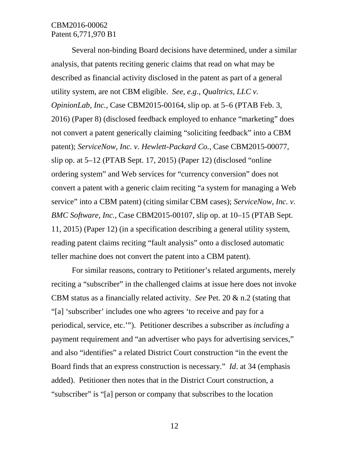Several non-binding Board decisions have determined, under a similar analysis, that patents reciting generic claims that read on what may be described as financial activity disclosed in the patent as part of a general utility system, are not CBM eligible. *See, e.g.*, *Qualtrics, LLC v. OpinionLab, Inc.*, Case CBM2015-00164, slip op. at 5–6 (PTAB Feb. 3, 2016) (Paper 8) (disclosed feedback employed to enhance "marketing" does not convert a patent generically claiming "soliciting feedback" into a CBM patent); *ServiceNow, Inc. v. Hewlett-Packard Co.*, Case CBM2015-00077, slip op. at 5–12 (PTAB Sept. 17, 2015) (Paper 12) (disclosed "online ordering system" and Web services for "currency conversion" does not convert a patent with a generic claim reciting "a system for managing a Web service" into a CBM patent) (citing similar CBM cases); *ServiceNow, Inc. v. BMC Software, Inc.*, Case CBM2015-00107, slip op. at 10–15 (PTAB Sept. 11, 2015) (Paper 12) (in a specification describing a general utility system, reading patent claims reciting "fault analysis" onto a disclosed automatic teller machine does not convert the patent into a CBM patent).

For similar reasons, contrary to Petitioner's related arguments, merely reciting a "subscriber" in the challenged claims at issue here does not invoke CBM status as a financially related activity. *See* Pet. 20 & n.2 (stating that "[a] 'subscriber' includes one who agrees 'to receive and pay for a periodical, service, etc.'"). Petitioner describes a subscriber as *including* a payment requirement and "an advertiser who pays for advertising services," and also "identifies" a related District Court construction "in the event the Board finds that an express construction is necessary." *Id*. at 34 (emphasis added). Petitioner then notes that in the District Court construction, a "subscriber" is "[a] person or company that subscribes to the location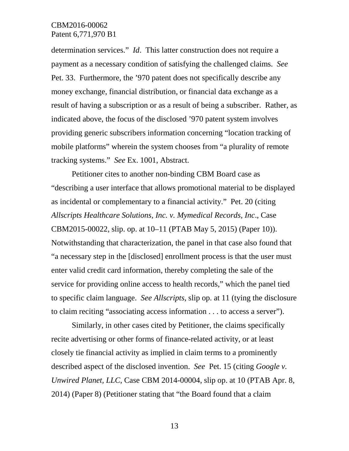determination services." *Id*. This latter construction does not require a payment as a necessary condition of satisfying the challenged claims. *See* Pet. 33. Furthermore, the '970 patent does not specifically describe any money exchange, financial distribution, or financial data exchange as a result of having a subscription or as a result of being a subscriber. Rather, as indicated above, the focus of the disclosed '970 patent system involves providing generic subscribers information concerning "location tracking of mobile platforms" wherein the system chooses from "a plurality of remote tracking systems." *See* Ex. 1001, Abstract.

Petitioner cites to another non-binding CBM Board case as "describing a user interface that allows promotional material to be displayed as incidental or complementary to a financial activity." Pet. 20 (citing *Allscripts Healthcare Solutions, Inc. v. Mymedical Records, Inc*., Case CBM2015-00022, slip. op. at 10–11 (PTAB May 5, 2015) (Paper 10)). Notwithstanding that characterization, the panel in that case also found that "a necessary step in the [disclosed] enrollment process is that the user must enter valid credit card information, thereby completing the sale of the service for providing online access to health records," which the panel tied to specific claim language. *See Allscripts*, slip op. at 11 (tying the disclosure to claim reciting "associating access information . . . to access a server").

Similarly, in other cases cited by Petitioner, the claims specifically recite advertising or other forms of finance-related activity, or at least closely tie financial activity as implied in claim terms to a prominently described aspect of the disclosed invention. *See* Pet. 15 (citing *Google v. Unwired Planet, LLC*, Case CBM 2014-00004, slip op. at 10 (PTAB Apr. 8, 2014) (Paper 8) (Petitioner stating that "the Board found that a claim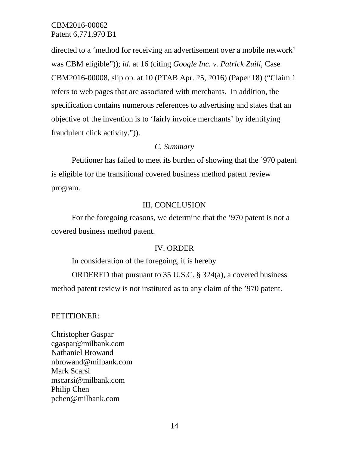directed to a 'method for receiving an advertisement over a mobile network' was CBM eligible")); *id*. at 16 (citing *Google Inc. v. Patrick Zuili*, Case CBM2016-00008, slip op. at 10 (PTAB Apr. 25, 2016) (Paper 18) ("Claim 1 refers to web pages that are associated with merchants. In addition, the specification contains numerous references to advertising and states that an objective of the invention is to 'fairly invoice merchants' by identifying fraudulent click activity.")).

#### *C. Summary*

Petitioner has failed to meet its burden of showing that the '970 patent is eligible for the transitional covered business method patent review program.

## III. CONCLUSION

For the foregoing reasons, we determine that the '970 patent is not a covered business method patent.

## IV. ORDER

In consideration of the foregoing, it is hereby

ORDERED that pursuant to 35 U.S.C. § 324(a), a covered business method patent review is not instituted as to any claim of the '970 patent.

#### PETITIONER:

Christopher Gaspar cgaspar@milbank.com Nathaniel Browand nbrowand@milbank.com Mark Scarsi mscarsi@milbank.com Philip Chen pchen@milbank.com